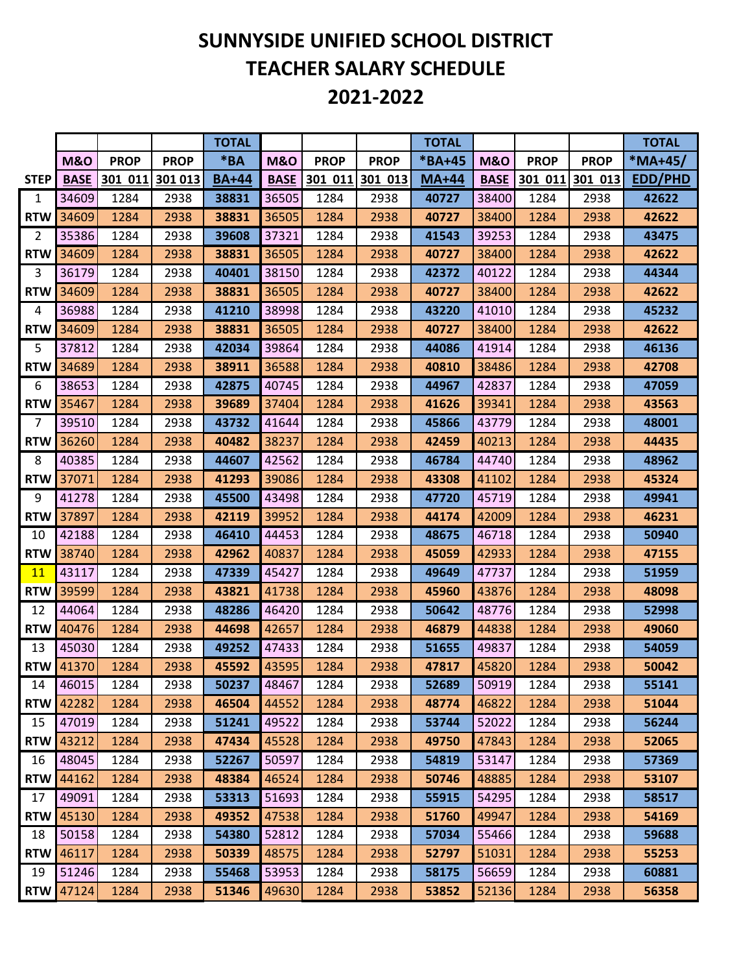## **SUNNYSIDE UNIFIED SCHOOL DISTRICT TEACHER SALARY SCHEDULE 2021-2022**

|                |                |             |             | <b>TOTAL</b> |                |                 |             | <b>TOTAL</b> |                |             |                 | <b>TOTAL</b>   |
|----------------|----------------|-------------|-------------|--------------|----------------|-----------------|-------------|--------------|----------------|-------------|-----------------|----------------|
|                | <b>M&amp;O</b> | <b>PROP</b> | <b>PROP</b> | $*BA$        | <b>M&amp;O</b> | <b>PROP</b>     | <b>PROP</b> | *BA+45       | <b>M&amp;O</b> | <b>PROP</b> | <b>PROP</b>     | *MA+45/        |
| <b>STEP</b>    | <b>BASE</b>    | 301 011     | 301 013     | <b>BA+44</b> | <b>BASE</b>    | 301 011 301 013 |             | <b>MA+44</b> | <b>BASE</b>    |             | 301 011 301 013 | <b>EDD/PHD</b> |
| 1              | 34609          | 1284        | 2938        | 38831        | 36505          | 1284            | 2938        | 40727        | 38400          | 1284        | 2938            | 42622          |
| <b>RTW</b>     | 34609          | 1284        | 2938        | 38831        | 36505          | 1284            | 2938        | 40727        | 38400          | 1284        | 2938            | 42622          |
| $\overline{2}$ | 35386          | 1284        | 2938        | 39608        | 37321          | 1284            | 2938        | 41543        | 39253          | 1284        | 2938            | 43475          |
| <b>RTW</b>     | 34609          | 1284        | 2938        | 38831        | 36505          | 1284            | 2938        | 40727        | 38400          | 1284        | 2938            | 42622          |
| 3              | 36179          | 1284        | 2938        | 40401        | 38150          | 1284            | 2938        | 42372        | 40122          | 1284        | 2938            | 44344          |
| <b>RTW</b>     | 34609          | 1284        | 2938        | 38831        | 36505          | 1284            | 2938        | 40727        | 38400          | 1284        | 2938            | 42622          |
| 4              | 36988          | 1284        | 2938        | 41210        | 38998          | 1284            | 2938        | 43220        | 41010          | 1284        | 2938            | 45232          |
| <b>RTW</b>     | 34609          | 1284        | 2938        | 38831        | 36505          | 1284            | 2938        | 40727        | 38400          | 1284        | 2938            | 42622          |
| 5              | 37812          | 1284        | 2938        | 42034        | 39864          | 1284            | 2938        | 44086        | 41914          | 1284        | 2938            | 46136          |
| <b>RTW</b>     | 34689          | 1284        | 2938        | 38911        | 36588          | 1284            | 2938        | 40810        | 38486          | 1284        | 2938            | 42708          |
| 6              | 38653          | 1284        | 2938        | 42875        | 40745          | 1284            | 2938        | 44967        | 42837          | 1284        | 2938            | 47059          |
| <b>RTW</b>     | 35467          | 1284        | 2938        | 39689        | 37404          | 1284            | 2938        | 41626        | 39341          | 1284        | 2938            | 43563          |
| $\overline{7}$ | 39510          | 1284        | 2938        | 43732        | 41644          | 1284            | 2938        | 45866        | 43779          | 1284        | 2938            | 48001          |
| <b>RTW</b>     | 36260          | 1284        | 2938        | 40482        | 38237          | 1284            | 2938        | 42459        | 40213          | 1284        | 2938            | 44435          |
| 8              | 40385          | 1284        | 2938        | 44607        | 42562          | 1284            | 2938        | 46784        | 44740          | 1284        | 2938            | 48962          |
| <b>RTW</b>     | 37071          | 1284        | 2938        | 41293        | 39086          | 1284            | 2938        | 43308        | 41102          | 1284        | 2938            | 45324          |
| 9              | 41278          | 1284        | 2938        | 45500        | 43498          | 1284            | 2938        | 47720        | 45719          | 1284        | 2938            | 49941          |
| <b>RTW</b>     | 37897          | 1284        | 2938        | 42119        | 39952          | 1284            | 2938        | 44174        | 42009          | 1284        | 2938            | 46231          |
| 10             | 42188          | 1284        | 2938        | 46410        | 44453          | 1284            | 2938        | 48675        | 46718          | 1284        | 2938            | 50940          |
| <b>RTW</b>     | 38740          | 1284        | 2938        | 42962        | 40837          | 1284            | 2938        | 45059        | 42933          | 1284        | 2938            | 47155          |
| 11             | 43117          | 1284        | 2938        | 47339        | 45427          | 1284            | 2938        | 49649        | 47737          | 1284        | 2938            | 51959          |
| <b>RTW</b>     | 39599          | 1284        | 2938        | 43821        | 41738          | 1284            | 2938        | 45960        | 43876          | 1284        | 2938            | 48098          |
| 12             | 44064          | 1284        | 2938        | 48286        | 46420          | 1284            | 2938        | 50642        | 48776          | 1284        | 2938            | 52998          |
| <b>RTW</b>     | 40476          | 1284        | 2938        | 44698        | 42657          | 1284            | 2938        | 46879        | 44838          | 1284        | 2938            | 49060          |
| 13             | 45030          | 1284        | 2938        | 49252        | 47433          | 1284            | 2938        | 51655        | 49837          | 1284        | 2938            | 54059          |
| <b>RTW</b>     | 41370          | 1284        | 2938        | 45592        | 43595          | 1284            | 2938        | 47817        | 45820          | 1284        | 2938            | 50042          |
| 14             | 46015          | 1284        | 2938        | 50237        | 48467          | 1284            | 2938        | 52689        | 50919          | 1284        | 2938            | 55141          |
| <b>RTW</b>     | 42282          | 1284        | 2938        | 46504        | 44552          | 1284            | 2938        | 48774        | 46822          | 1284        | 2938            | 51044          |
| 15             | 47019          | 1284        | 2938        | 51241        | 49522          | 1284            | 2938        | 53744        | 52022          | 1284        | 2938            | 56244          |
| <b>RTW</b>     | 43212          | 1284        | 2938        | 47434        | 45528          | 1284            | 2938        | 49750        | 47843          | 1284        | 2938            | 52065          |
| 16             | 48045          | 1284        | 2938        | 52267        | 50597          | 1284            | 2938        | 54819        | 53147          | 1284        | 2938            | 57369          |
| <b>RTW</b>     | 44162          | 1284        | 2938        | 48384        | 46524          | 1284            | 2938        | 50746        | 48885          | 1284        | 2938            | 53107          |
| 17             | 49091          | 1284        | 2938        | 53313        | 51693          | 1284            | 2938        | 55915        | 54295          | 1284        | 2938            | 58517          |
| <b>RTW</b>     | 45130          | 1284        | 2938        | 49352        | 47538          | 1284            | 2938        | 51760        | 49947          | 1284        | 2938            | 54169          |
| 18             | 50158          | 1284        | 2938        | 54380        | 52812          | 1284            | 2938        | 57034        | 55466          | 1284        | 2938            | 59688          |
| <b>RTW</b>     | 46117          | 1284        | 2938        | 50339        | 48575          | 1284            | 2938        | 52797        | 51031          | 1284        | 2938            | 55253          |
| 19             | 51246          | 1284        | 2938        | 55468        | 53953          | 1284            | 2938        | 58175        | 56659          | 1284        | 2938            | 60881          |
| <b>RTW</b>     | 47124          | 1284        | 2938        | 51346        | 49630          | 1284            | 2938        | 53852        | 52136          | 1284        | 2938            | 56358          |